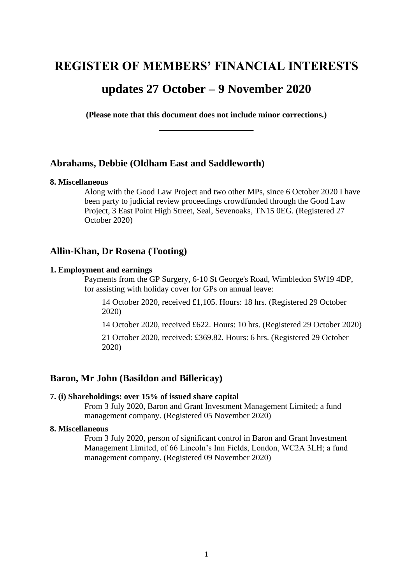# **REGISTER OF MEMBERS' FINANCIAL INTERESTS**

# **updates 27 October – 9 November 2020**

**(Please note that this document does not include minor corrections.) \_\_\_\_\_\_\_\_\_\_\_\_\_\_\_\_\_**

## **Abrahams, Debbie (Oldham East and Saddleworth)**

#### **8. Miscellaneous**

Along with the Good Law Project and two other MPs, since 6 October 2020 I have been party to judicial review proceedings crowdfunded through the Good Law Project, 3 East Point High Street, Seal, Sevenoaks, TN15 0EG. (Registered 27 October 2020)

## **Allin-Khan, Dr Rosena (Tooting)**

#### **1. Employment and earnings**

Payments from the GP Surgery, 6-10 St George's Road, Wimbledon SW19 4DP, for assisting with holiday cover for GPs on annual leave:

14 October 2020, received £1,105. Hours: 18 hrs. (Registered 29 October 2020)

14 October 2020, received £622. Hours: 10 hrs. (Registered 29 October 2020)

21 October 2020, received: £369.82. Hours: 6 hrs. (Registered 29 October 2020)

## **Baron, Mr John (Basildon and Billericay)**

#### **7. (i) Shareholdings: over 15% of issued share capital**

From 3 July 2020, Baron and Grant Investment Management Limited; a fund management company. (Registered 05 November 2020)

#### **8. Miscellaneous**

From 3 July 2020, person of significant control in Baron and Grant Investment Management Limited, of 66 Lincoln's Inn Fields, London, WC2A 3LH; a fund management company. (Registered 09 November 2020)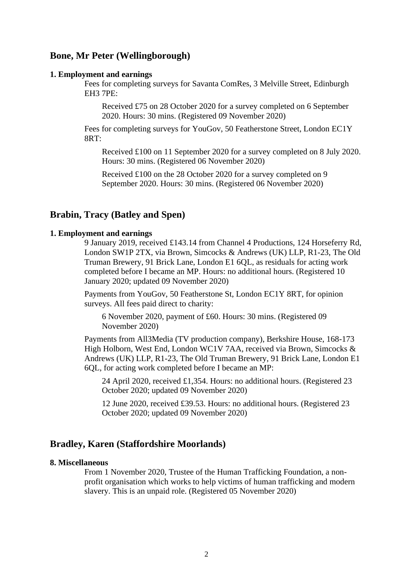## **Bone, Mr Peter (Wellingborough)**

#### **1. Employment and earnings**

Fees for completing surveys for Savanta ComRes, 3 Melville Street, Edinburgh EH3 7PE:

Received £75 on 28 October 2020 for a survey completed on 6 September 2020. Hours: 30 mins. (Registered 09 November 2020)

Fees for completing surveys for YouGov, 50 Featherstone Street, London EC1Y 8RT:

Received £100 on 11 September 2020 for a survey completed on 8 July 2020. Hours: 30 mins. (Registered 06 November 2020)

Received £100 on the 28 October 2020 for a survey completed on 9 September 2020. Hours: 30 mins. (Registered 06 November 2020)

## **Brabin, Tracy (Batley and Spen)**

#### **1. Employment and earnings**

9 January 2019, received £143.14 from Channel 4 Productions, 124 Horseferry Rd, London SW1P 2TX, via Brown, Simcocks & Andrews (UK) LLP, R1-23, The Old Truman Brewery, 91 Brick Lane, London E1 6QL, as residuals for acting work completed before I became an MP. Hours: no additional hours. (Registered 10 January 2020; updated 09 November 2020)

Payments from YouGov, 50 Featherstone St, London EC1Y 8RT, for opinion surveys. All fees paid direct to charity:

6 November 2020, payment of £60. Hours: 30 mins. (Registered 09 November 2020)

Payments from All3Media (TV production company), Berkshire House, 168-173 High Holborn, West End, London WC1V 7AA, received via Brown, Simcocks & Andrews (UK) LLP, R1-23, The Old Truman Brewery, 91 Brick Lane, London E1 6QL, for acting work completed before I became an MP:

24 April 2020, received £1,354. Hours: no additional hours. (Registered 23 October 2020; updated 09 November 2020)

12 June 2020, received £39.53. Hours: no additional hours. (Registered 23 October 2020; updated 09 November 2020)

## **Bradley, Karen (Staffordshire Moorlands)**

#### **8. Miscellaneous**

From 1 November 2020, Trustee of the Human Trafficking Foundation, a nonprofit organisation which works to help victims of human trafficking and modern slavery. This is an unpaid role. (Registered 05 November 2020)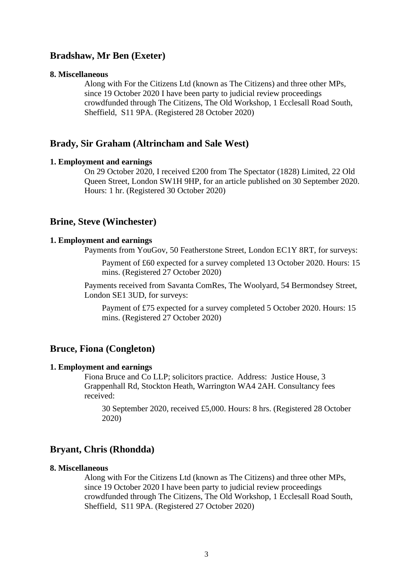## **Bradshaw, Mr Ben (Exeter)**

#### **8. Miscellaneous**

Along with For the Citizens Ltd (known as The Citizens) and three other MPs, since 19 October 2020 I have been party to judicial review proceedings crowdfunded through The Citizens, The Old Workshop, 1 Ecclesall Road South, Sheffield, S11 9PA. (Registered 28 October 2020)

## **Brady, Sir Graham (Altrincham and Sale West)**

#### **1. Employment and earnings**

On 29 October 2020, I received £200 from The Spectator (1828) Limited, 22 Old Queen Street, London SW1H 9HP, for an article published on 30 September 2020. Hours: 1 hr. (Registered 30 October 2020)

### **Brine, Steve (Winchester)**

### **1. Employment and earnings**

Payments from YouGov, 50 Featherstone Street, London EC1Y 8RT, for surveys:

Payment of £60 expected for a survey completed 13 October 2020. Hours: 15 mins. (Registered 27 October 2020)

Payments received from Savanta ComRes, The Woolyard, 54 Bermondsey Street, London SE1 3UD, for surveys:

Payment of £75 expected for a survey completed 5 October 2020. Hours: 15 mins. (Registered 27 October 2020)

### **Bruce, Fiona (Congleton)**

#### **1. Employment and earnings**

Fiona Bruce and Co LLP; solicitors practice. Address: Justice House, 3 Grappenhall Rd, Stockton Heath, Warrington WA4 2AH. Consultancy fees received:

30 September 2020, received £5,000. Hours: 8 hrs. (Registered 28 October 2020)

## **Bryant, Chris (Rhondda)**

#### **8. Miscellaneous**

Along with For the Citizens Ltd (known as The Citizens) and three other MPs, since 19 October 2020 I have been party to judicial review proceedings crowdfunded through The Citizens, The Old Workshop, 1 Ecclesall Road South, Sheffield, S11 9PA. (Registered 27 October 2020)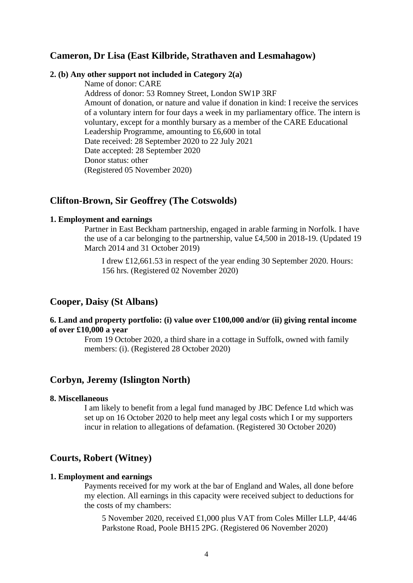## **Cameron, Dr Lisa (East Kilbride, Strathaven and Lesmahagow)**

#### **2. (b) Any other support not included in Category 2(a)**

Name of donor: CARE

Address of donor: 53 Romney Street, London SW1P 3RF Amount of donation, or nature and value if donation in kind: I receive the services of a voluntary intern for four days a week in my parliamentary office. The intern is voluntary, except for a monthly bursary as a member of the CARE Educational Leadership Programme, amounting to £6,600 in total Date received: 28 September 2020 to 22 July 2021 Date accepted: 28 September 2020 Donor status: other (Registered 05 November 2020)

## **Clifton-Brown, Sir Geoffrey (The Cotswolds)**

### **1. Employment and earnings**

Partner in East Beckham partnership, engaged in arable farming in Norfolk. I have the use of a car belonging to the partnership, value £4,500 in 2018-19. (Updated 19 March 2014 and 31 October 2019)

I drew £12,661.53 in respect of the year ending 30 September 2020. Hours: 156 hrs. (Registered 02 November 2020)

## **Cooper, Daisy (St Albans)**

### **6. Land and property portfolio: (i) value over £100,000 and/or (ii) giving rental income of over £10,000 a year**

From 19 October 2020, a third share in a cottage in Suffolk, owned with family members: (i). (Registered 28 October 2020)

## **Corbyn, Jeremy (Islington North)**

#### **8. Miscellaneous**

I am likely to benefit from a legal fund managed by JBC Defence Ltd which was set up on 16 October 2020 to help meet any legal costs which I or my supporters incur in relation to allegations of defamation. (Registered 30 October 2020)

### **Courts, Robert (Witney)**

### **1. Employment and earnings**

Payments received for my work at the bar of England and Wales, all done before my election. All earnings in this capacity were received subject to deductions for the costs of my chambers:

5 November 2020, received £1,000 plus VAT from Coles Miller LLP, 44/46 Parkstone Road, Poole BH15 2PG. (Registered 06 November 2020)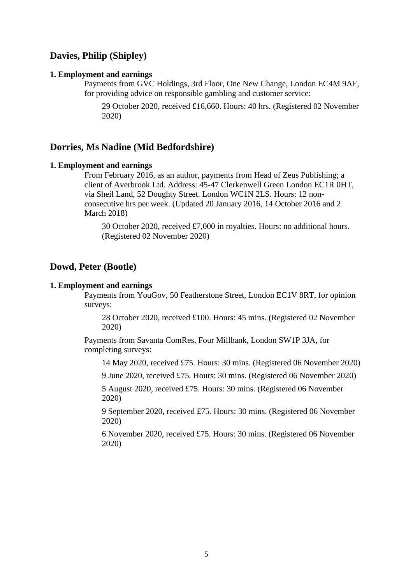## **Davies, Philip (Shipley)**

#### **1. Employment and earnings**

Payments from GVC Holdings, 3rd Floor, One New Change, London EC4M 9AF, for providing advice on responsible gambling and customer service:

29 October 2020, received £16,660. Hours: 40 hrs. (Registered 02 November 2020)

## **Dorries, Ms Nadine (Mid Bedfordshire)**

#### **1. Employment and earnings**

From February 2016, as an author, payments from Head of Zeus Publishing; a client of Averbrook Ltd. Address: 45-47 Clerkenwell Green London EC1R 0HT, via Sheil Land, 52 Doughty Street. London WC1N 2LS. Hours: 12 nonconsecutive hrs per week. (Updated 20 January 2016, 14 October 2016 and 2 March 2018)

30 October 2020, received £7,000 in royalties. Hours: no additional hours. (Registered 02 November 2020)

## **Dowd, Peter (Bootle)**

#### **1. Employment and earnings**

Payments from YouGov, 50 Featherstone Street, London EC1V 8RT, for opinion surveys:

28 October 2020, received £100. Hours: 45 mins. (Registered 02 November 2020)

Payments from Savanta ComRes, Four Millbank, London SW1P 3JA, for completing surveys:

14 May 2020, received £75. Hours: 30 mins. (Registered 06 November 2020)

9 June 2020, received £75. Hours: 30 mins. (Registered 06 November 2020)

5 August 2020, received £75. Hours: 30 mins. (Registered 06 November 2020)

9 September 2020, received £75. Hours: 30 mins. (Registered 06 November 2020)

6 November 2020, received £75. Hours: 30 mins. (Registered 06 November 2020)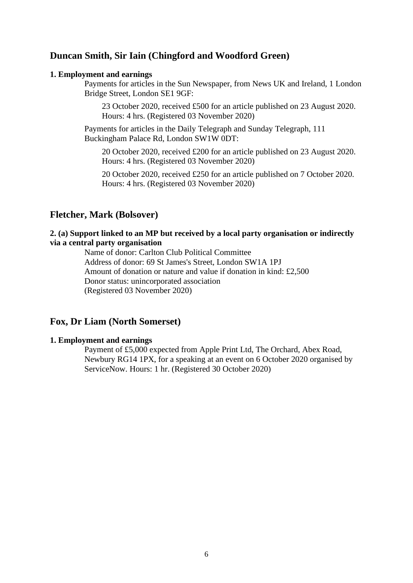## **Duncan Smith, Sir Iain (Chingford and Woodford Green)**

#### **1. Employment and earnings**

Payments for articles in the Sun Newspaper, from News UK and Ireland, 1 London Bridge Street, London SE1 9GF:

23 October 2020, received £500 for an article published on 23 August 2020. Hours: 4 hrs. (Registered 03 November 2020)

Payments for articles in the Daily Telegraph and Sunday Telegraph, 111 Buckingham Palace Rd, London SW1W 0DT:

20 October 2020, received £200 for an article published on 23 August 2020. Hours: 4 hrs. (Registered 03 November 2020)

20 October 2020, received £250 for an article published on 7 October 2020. Hours: 4 hrs. (Registered 03 November 2020)

### **Fletcher, Mark (Bolsover)**

### **2. (a) Support linked to an MP but received by a local party organisation or indirectly via a central party organisation**

Name of donor: Carlton Club Political Committee Address of donor: 69 St James's Street, London SW1A 1PJ Amount of donation or nature and value if donation in kind: £2,500 Donor status: unincorporated association (Registered 03 November 2020)

## **Fox, Dr Liam (North Somerset)**

#### **1. Employment and earnings**

Payment of £5,000 expected from Apple Print Ltd, The Orchard, Abex Road, Newbury RG14 1PX, for a speaking at an event on 6 October 2020 organised by ServiceNow. Hours: 1 hr. (Registered 30 October 2020)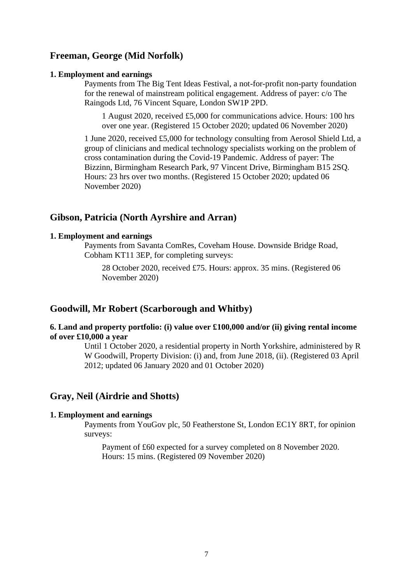## **Freeman, George (Mid Norfolk)**

#### **1. Employment and earnings**

Payments from The Big Tent Ideas Festival, a not-for-profit non-party foundation for the renewal of mainstream political engagement. Address of payer: c/o The Raingods Ltd, 76 Vincent Square, London SW1P 2PD.

1 August 2020, received £5,000 for communications advice. Hours: 100 hrs over one year. (Registered 15 October 2020; updated 06 November 2020)

1 June 2020, received £5,000 for technology consulting from Aerosol Shield Ltd, a group of clinicians and medical technology specialists working on the problem of cross contamination during the Covid-19 Pandemic. Address of payer: The Bizzinn, Birmingham Research Park, 97 Vincent Drive, Birmingham B15 2SQ. Hours: 23 hrs over two months. (Registered 15 October 2020; updated 06 November 2020)

## **Gibson, Patricia (North Ayrshire and Arran)**

#### **1. Employment and earnings**

Payments from Savanta ComRes, Coveham House. Downside Bridge Road, Cobham KT11 3EP, for completing surveys:

28 October 2020, received £75. Hours: approx. 35 mins. (Registered 06 November 2020)

## **Goodwill, Mr Robert (Scarborough and Whitby)**

### **6. Land and property portfolio: (i) value over £100,000 and/or (ii) giving rental income of over £10,000 a year**

Until 1 October 2020, a residential property in North Yorkshire, administered by R W Goodwill, Property Division: (i) and, from June 2018, (ii). (Registered 03 April 2012; updated 06 January 2020 and 01 October 2020)

## **Gray, Neil (Airdrie and Shotts)**

#### **1. Employment and earnings**

Payments from YouGov plc, 50 Featherstone St, London EC1Y 8RT, for opinion surveys:

Payment of £60 expected for a survey completed on 8 November 2020. Hours: 15 mins. (Registered 09 November 2020)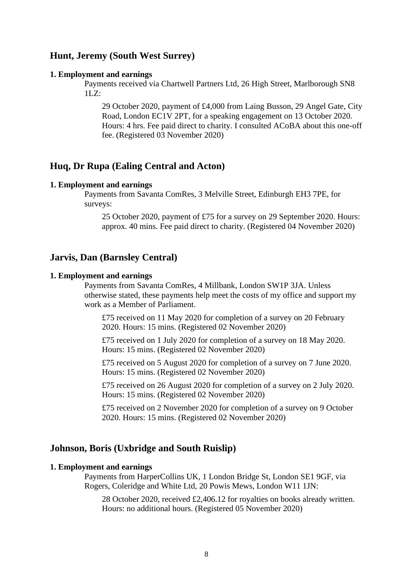## **Hunt, Jeremy (South West Surrey)**

#### **1. Employment and earnings**

Payments received via Chartwell Partners Ltd, 26 High Street, Marlborough SN8 1LZ:

29 October 2020, payment of £4,000 from Laing Busson, 29 Angel Gate, City Road, London EC1V 2PT, for a speaking engagement on 13 October 2020. Hours: 4 hrs. Fee paid direct to charity. I consulted ACoBA about this one-off fee. (Registered 03 November 2020)

## **Huq, Dr Rupa (Ealing Central and Acton)**

#### **1. Employment and earnings**

Payments from Savanta ComRes, 3 Melville Street, Edinburgh EH3 7PE, for surveys:

25 October 2020, payment of £75 for a survey on 29 September 2020. Hours: approx. 40 mins. Fee paid direct to charity. (Registered 04 November 2020)

## **Jarvis, Dan (Barnsley Central)**

#### **1. Employment and earnings**

Payments from Savanta ComRes, 4 Millbank, London SW1P 3JA. Unless otherwise stated, these payments help meet the costs of my office and support my work as a Member of Parliament.

£75 received on 11 May 2020 for completion of a survey on 20 February 2020. Hours: 15 mins. (Registered 02 November 2020)

£75 received on 1 July 2020 for completion of a survey on 18 May 2020. Hours: 15 mins. (Registered 02 November 2020)

£75 received on 5 August 2020 for completion of a survey on 7 June 2020. Hours: 15 mins. (Registered 02 November 2020)

£75 received on 26 August 2020 for completion of a survey on 2 July 2020. Hours: 15 mins. (Registered 02 November 2020)

£75 received on 2 November 2020 for completion of a survey on 9 October 2020. Hours: 15 mins. (Registered 02 November 2020)

### **Johnson, Boris (Uxbridge and South Ruislip)**

### **1. Employment and earnings**

Payments from HarperCollins UK, 1 London Bridge St, London SE1 9GF, via Rogers, Coleridge and White Ltd, 20 Powis Mews, London W11 1JN:

28 October 2020, received £2,406.12 for royalties on books already written. Hours: no additional hours. (Registered 05 November 2020)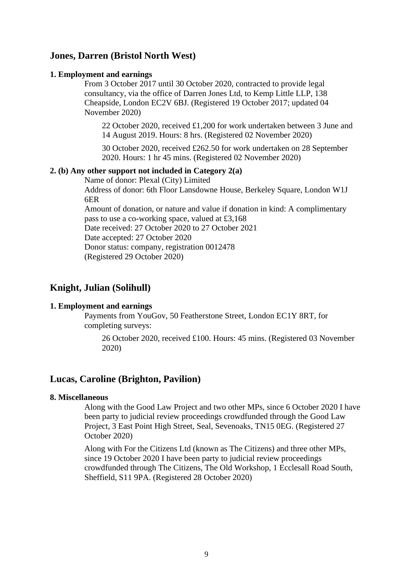## **Jones, Darren (Bristol North West)**

### **1. Employment and earnings**

From 3 October 2017 until 30 October 2020, contracted to provide legal consultancy, via the office of Darren Jones Ltd, to Kemp Little LLP, 138 Cheapside, London EC2V 6BJ. (Registered 19 October 2017; updated 04 November 2020)

22 October 2020, received £1,200 for work undertaken between 3 June and 14 August 2019. Hours: 8 hrs. (Registered 02 November 2020)

30 October 2020, received £262.50 for work undertaken on 28 September 2020. Hours: 1 hr 45 mins. (Registered 02 November 2020)

### **2. (b) Any other support not included in Category 2(a)**

Name of donor: Plexal (City) Limited

Address of donor: 6th Floor Lansdowne House, Berkeley Square, London W1J 6ER

Amount of donation, or nature and value if donation in kind: A complimentary pass to use a co-working space, valued at £3,168

Date received: 27 October 2020 to 27 October 2021

Date accepted: 27 October 2020

Donor status: company, registration 0012478

(Registered 29 October 2020)

## **Knight, Julian (Solihull)**

## **1. Employment and earnings**

Payments from YouGov, 50 Featherstone Street, London EC1Y 8RT, for completing surveys:

26 October 2020, received £100. Hours: 45 mins. (Registered 03 November 2020)

## **Lucas, Caroline (Brighton, Pavilion)**

### **8. Miscellaneous**

Along with the Good Law Project and two other MPs, since 6 October 2020 I have been party to judicial review proceedings crowdfunded through the Good Law Project, 3 East Point High Street, Seal, Sevenoaks, TN15 0EG. (Registered 27 October 2020)

Along with For the Citizens Ltd (known as The Citizens) and three other MPs, since 19 October 2020 I have been party to judicial review proceedings crowdfunded through The Citizens, The Old Workshop, 1 Ecclesall Road South, Sheffield, S11 9PA. (Registered 28 October 2020)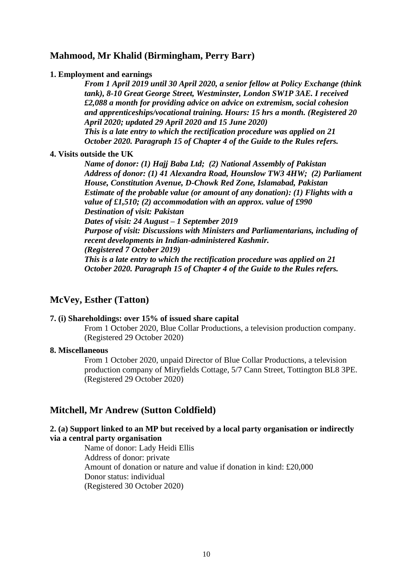## **Mahmood, Mr Khalid (Birmingham, Perry Barr)**

#### **1. Employment and earnings**

*From 1 April 2019 until 30 April 2020, a senior fellow at Policy Exchange (think tank), 8-10 Great George Street, Westminster, London SW1P 3AE. I received £2,088 a month for providing advice on advice on extremism, social cohesion and apprenticeships/vocational training. Hours: 15 hrs a month. (Registered 20 April 2020; updated 29 April 2020 and 15 June 2020) This is a late entry to which the rectification procedure was applied on 21 October 2020. Paragraph 15 of Chapter 4 of the Guide to the Rules refers.*

#### **4. Visits outside the UK**

*Name of donor: (1) Hajj Baba Ltd; (2) National Assembly of Pakistan Address of donor: (1) 41 Alexandra Road, Hounslow TW3 4HW; (2) Parliament House, Constitution Avenue, D-Chowk Red Zone, Islamabad, Pakistan Estimate of the probable value (or amount of any donation): (1) Flights with a value of £1,510; (2) accommodation with an approx. value of £990 Destination of visit: Pakistan Dates of visit: 24 August – 1 September 2019 Purpose of visit: Discussions with Ministers and Parliamentarians, including of recent developments in Indian-administered Kashmir. (Registered 7 October 2019) This is a late entry to which the rectification procedure was applied on 21 October 2020. Paragraph 15 of Chapter 4 of the Guide to the Rules refers.*

## **McVey, Esther (Tatton)**

### **7. (i) Shareholdings: over 15% of issued share capital**

From 1 October 2020, Blue Collar Productions, a television production company. (Registered 29 October 2020)

#### **8. Miscellaneous**

From 1 October 2020, unpaid Director of Blue Collar Productions, a television production company of Miryfields Cottage, 5/7 Cann Street, Tottington BL8 3PE. (Registered 29 October 2020)

## **Mitchell, Mr Andrew (Sutton Coldfield)**

## **2. (a) Support linked to an MP but received by a local party organisation or indirectly via a central party organisation**

Name of donor: Lady Heidi Ellis Address of donor: private Amount of donation or nature and value if donation in kind: £20,000 Donor status: individual (Registered 30 October 2020)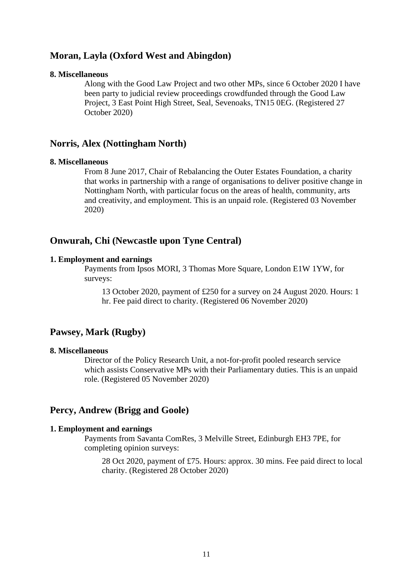## **Moran, Layla (Oxford West and Abingdon)**

#### **8. Miscellaneous**

Along with the Good Law Project and two other MPs, since 6 October 2020 I have been party to judicial review proceedings crowdfunded through the Good Law Project, 3 East Point High Street, Seal, Sevenoaks, TN15 0EG. (Registered 27 October 2020)

### **Norris, Alex (Nottingham North)**

#### **8. Miscellaneous**

From 8 June 2017, Chair of Rebalancing the Outer Estates Foundation, a charity that works in partnership with a range of organisations to deliver positive change in Nottingham North, with particular focus on the areas of health, community, arts and creativity, and employment. This is an unpaid role. (Registered 03 November 2020)

## **Onwurah, Chi (Newcastle upon Tyne Central)**

#### **1. Employment and earnings**

Payments from Ipsos MORI, 3 Thomas More Square, London E1W 1YW, for surveys:

13 October 2020, payment of £250 for a survey on 24 August 2020. Hours: 1 hr. Fee paid direct to charity. (Registered 06 November 2020)

## **Pawsey, Mark (Rugby)**

#### **8. Miscellaneous**

Director of the Policy Research Unit, a not-for-profit pooled research service which assists Conservative MPs with their Parliamentary duties. This is an unpaid role. (Registered 05 November 2020)

### **Percy, Andrew (Brigg and Goole)**

#### **1. Employment and earnings**

Payments from Savanta ComRes, 3 Melville Street, Edinburgh EH3 7PE, for completing opinion surveys:

28 Oct 2020, payment of £75. Hours: approx. 30 mins. Fee paid direct to local charity. (Registered 28 October 2020)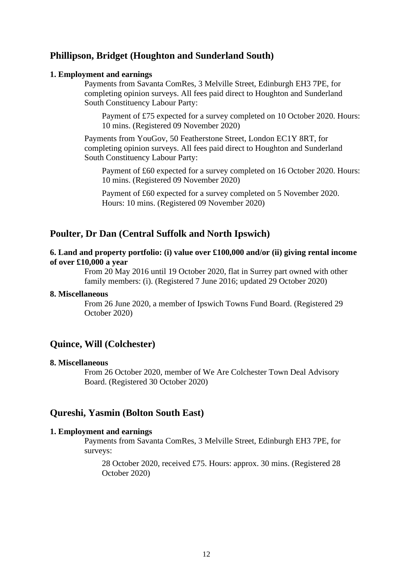## **Phillipson, Bridget (Houghton and Sunderland South)**

#### **1. Employment and earnings**

Payments from Savanta ComRes, 3 Melville Street, Edinburgh EH3 7PE, for completing opinion surveys. All fees paid direct to Houghton and Sunderland South Constituency Labour Party:

Payment of £75 expected for a survey completed on 10 October 2020. Hours: 10 mins. (Registered 09 November 2020)

Payments from YouGov, 50 Featherstone Street, London EC1Y 8RT, for completing opinion surveys. All fees paid direct to Houghton and Sunderland South Constituency Labour Party:

Payment of £60 expected for a survey completed on 16 October 2020. Hours: 10 mins. (Registered 09 November 2020)

Payment of £60 expected for a survey completed on 5 November 2020. Hours: 10 mins. (Registered 09 November 2020)

## **Poulter, Dr Dan (Central Suffolk and North Ipswich)**

### **6. Land and property portfolio: (i) value over £100,000 and/or (ii) giving rental income of over £10,000 a year**

From 20 May 2016 until 19 October 2020, flat in Surrey part owned with other family members: (i). (Registered 7 June 2016; updated 29 October 2020)

#### **8. Miscellaneous**

From 26 June 2020, a member of Ipswich Towns Fund Board. (Registered 29 October 2020)

## **Quince, Will (Colchester)**

### **8. Miscellaneous**

From 26 October 2020, member of We Are Colchester Town Deal Advisory Board. (Registered 30 October 2020)

## **Qureshi, Yasmin (Bolton South East)**

#### **1. Employment and earnings**

Payments from Savanta ComRes, 3 Melville Street, Edinburgh EH3 7PE, for surveys:

28 October 2020, received £75. Hours: approx. 30 mins. (Registered 28 October 2020)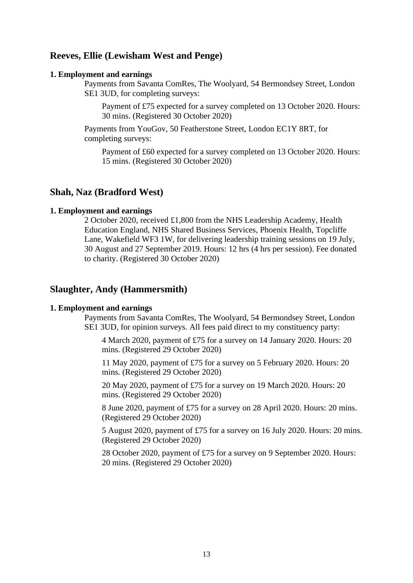## **Reeves, Ellie (Lewisham West and Penge)**

#### **1. Employment and earnings**

Payments from Savanta ComRes, The Woolyard, 54 Bermondsey Street, London SE1 3UD, for completing surveys:

Payment of £75 expected for a survey completed on 13 October 2020. Hours: 30 mins. (Registered 30 October 2020)

Payments from YouGov, 50 Featherstone Street, London EC1Y 8RT, for completing surveys:

Payment of £60 expected for a survey completed on 13 October 2020. Hours: 15 mins. (Registered 30 October 2020)

### **Shah, Naz (Bradford West)**

#### **1. Employment and earnings**

2 October 2020, received £1,800 from the NHS Leadership Academy, Health Education England, NHS Shared Business Services, Phoenix Health, Topcliffe Lane, Wakefield WF3 1W, for delivering leadership training sessions on 19 July, 30 August and 27 September 2019. Hours: 12 hrs (4 hrs per session). Fee donated to charity. (Registered 30 October 2020)

## **Slaughter, Andy (Hammersmith)**

#### **1. Employment and earnings**

Payments from Savanta ComRes, The Woolyard, 54 Bermondsey Street, London SE1 3UD, for opinion surveys. All fees paid direct to my constituency party:

4 March 2020, payment of £75 for a survey on 14 January 2020. Hours: 20 mins. (Registered 29 October 2020)

11 May 2020, payment of £75 for a survey on 5 February 2020. Hours: 20 mins. (Registered 29 October 2020)

20 May 2020, payment of £75 for a survey on 19 March 2020. Hours: 20 mins. (Registered 29 October 2020)

8 June 2020, payment of £75 for a survey on 28 April 2020. Hours: 20 mins. (Registered 29 October 2020)

5 August 2020, payment of £75 for a survey on 16 July 2020. Hours: 20 mins. (Registered 29 October 2020)

28 October 2020, payment of £75 for a survey on 9 September 2020. Hours: 20 mins. (Registered 29 October 2020)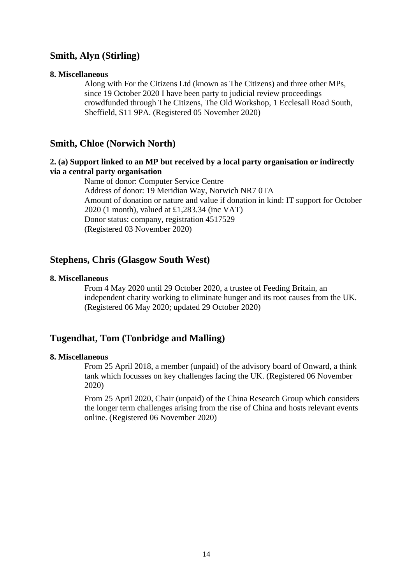## **Smith, Alyn (Stirling)**

#### **8. Miscellaneous**

Along with For the Citizens Ltd (known as The Citizens) and three other MPs, since 19 October 2020 I have been party to judicial review proceedings crowdfunded through The Citizens, The Old Workshop, 1 Ecclesall Road South, Sheffield, S11 9PA. (Registered 05 November 2020)

## **Smith, Chloe (Norwich North)**

## **2. (a) Support linked to an MP but received by a local party organisation or indirectly via a central party organisation**

Name of donor: Computer Service Centre Address of donor: 19 Meridian Way, Norwich NR7 0TA Amount of donation or nature and value if donation in kind: IT support for October 2020 (1 month), valued at £1,283.34 (inc VAT) Donor status: company, registration 4517529 (Registered 03 November 2020)

## **Stephens, Chris (Glasgow South West)**

#### **8. Miscellaneous**

From 4 May 2020 until 29 October 2020, a trustee of Feeding Britain, an independent charity working to eliminate hunger and its root causes from the UK. (Registered 06 May 2020; updated 29 October 2020)

## **Tugendhat, Tom (Tonbridge and Malling)**

#### **8. Miscellaneous**

From 25 April 2018, a member (unpaid) of the advisory board of Onward, a think tank which focusses on key challenges facing the UK. (Registered 06 November 2020)

From 25 April 2020, Chair (unpaid) of the China Research Group which considers the longer term challenges arising from the rise of China and hosts relevant events online. (Registered 06 November 2020)